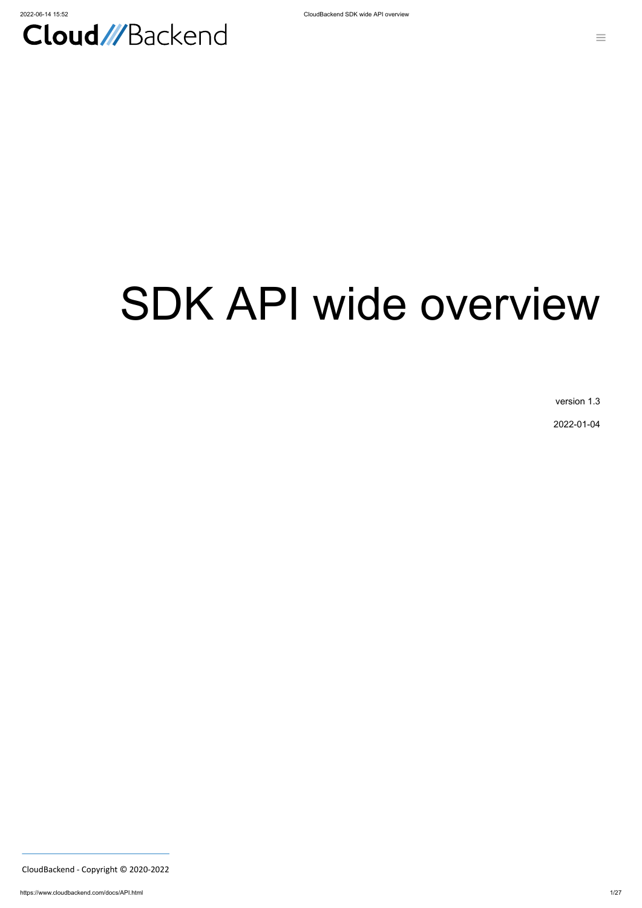

# SDK API wide overview

version 1.3

2022-01-04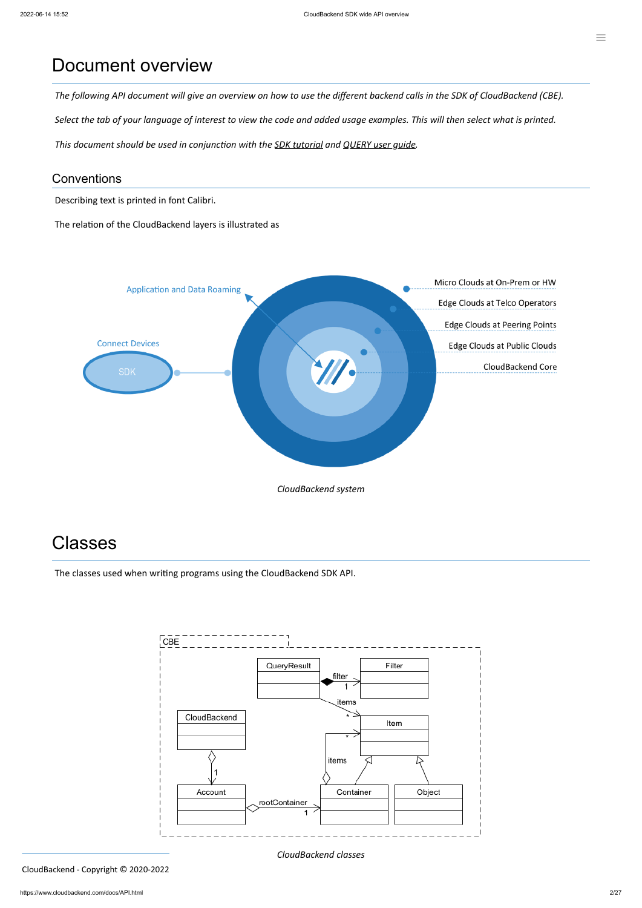### Document overview

The following API document will give an overview on how to use the different backend calls in the SDK of CloudBackend (CBE).

Select the tab of your language of interest to view the code and added usage examples. This will then select what is printed.

*This document should be used in conjunction with the SDK [tutorial](https://www.cloudbackend.com/docs/Tutorial.html) and [QUERY](https://www.cloudbackend.com/docs/QUERYug.html) user guide.*

### **Conventions**

Describing text is printed in font Calibri.

The relation of the CloudBackend layers is illustrated as



# Classes

The classes used when writing programs using the CloudBackend SDK API.



*CloudBackend classes*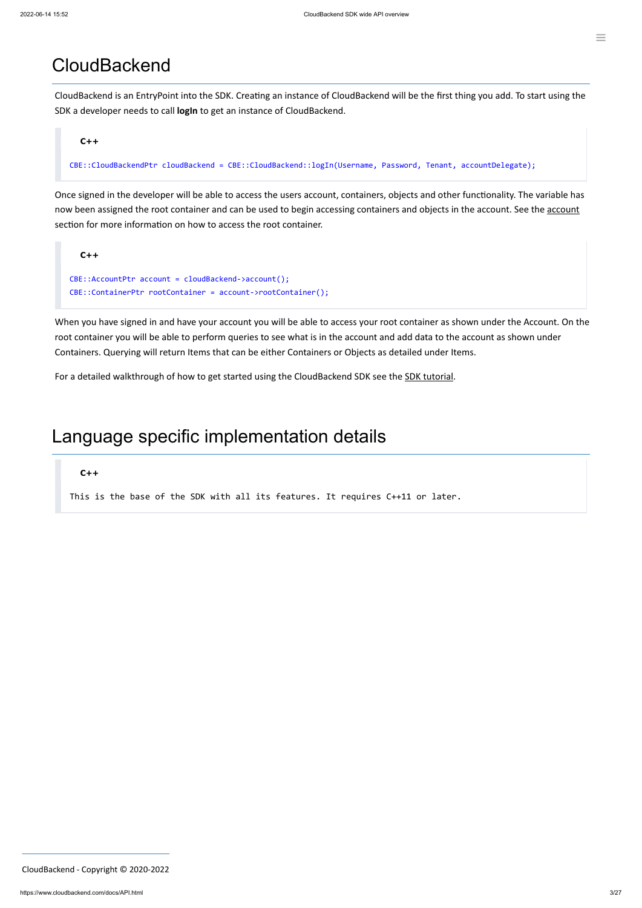### **CloudBackend**

CloudBackend is an EntryPoint into the SDK. Creating an instance of CloudBackend will be the first thing you add. To start using the SDK a developer needs to call **logIn** to get an instance of CloudBackend.

#### **C++**

CBE::CloudBackendPtr cloudBackend = CBE::CloudBackend::logIn(Username, Password, Tenant, accountDelegate);

Once signed in the developer will be able to access the users account, containers, objects and other functionality. The variable has now been assigned the root container and can be used to begin accessing containers and objects in the [account](#page-7-0). See the account section for more information on how to access the root container.



When you have signed in and have your account you will be able to access your root container as shown under the Account. On the root container you will be able to perform queries to see what is in the account and add data to the account as shown under Containers. Querying will return Items that can be either Containers or Objects as detailed under Items.

For a detailed walkthrough of how to get started using the CloudBackend SDK see the SDK [tutorial.](https://www.cloudbackend.com/docs/Tutorial.html)

### Language specific implementation details

#### **C++**

This is the base of the SDK with all its features. It requires C++11 or later.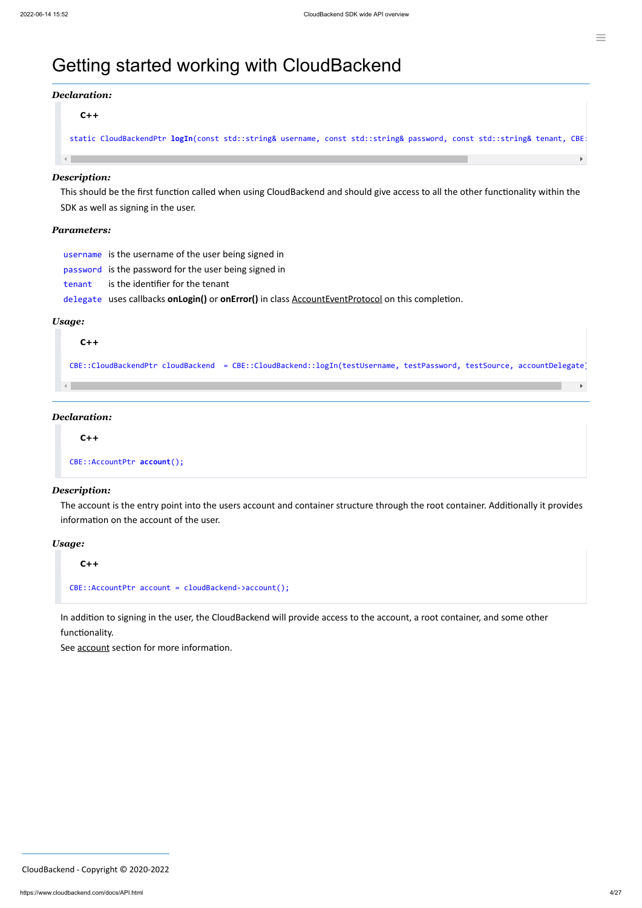### Getting started working with CloudBackend

#### *Declaration:*

#### **C++**

static CloudBackendPtr **logIn**(const std::string& username, const std::string& password, const std::string& tenant, CBE:

#### *Description:*

 $\leftarrow$ 

This should be the first function called when using CloudBackend and should give access to all the other functionality within the SDK as well as signing in the user.

#### *Parameters:*

username is the username of the user being signed in

password is the password for the user being signed in

tenant is the identifier for the tenant

delegate uses callbacks **onLogin()** or **onError()** in class [AccountEventProtocol](#page-23-0) on this completion.

#### *Usage:*

#### **C++**

CBE::CloudBackendPtr cloudBackend = CBE::CloudBackend::logIn(testUsername, testPassword, testSource, accountDelegate)

#### *Declaration:*

#### **C++**

CBE::AccountPtr **account**();

#### *Description:*

The account is the entry point into the users account and container structure through the root container. Additionally it provides information on the account of the user.

#### *Usage:*

**C++**

```
CBE::AccountPtr account = cloudBackend->account();
```
In addition to signing in the user, the CloudBackend will provide access to the account, a root container, and some other functionality.

See **[account](#page-7-0)** section for more information.

 $\blacktriangleright$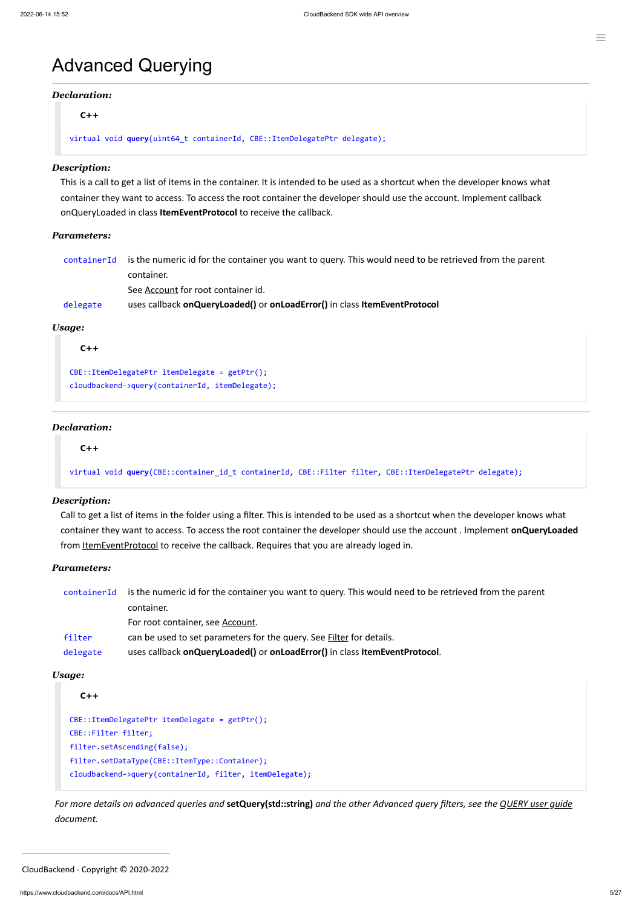### Advanced Querying

#### *Declaration:*

**C++**

```
virtual void query(uint64_t containerId, CBE::ItemDelegatePtr delegate);
```
#### *Description:*

This is a call to get a list of items in the container. It is intended to be used as a shortcut when the developer knows what container they want to access. To access the root container the developer should use the account. Implement callback onQueryLoaded in class **ItemEventProtocol** to receive the callback.

Call to get a list of items in the folder using a filter. This is intended to be used as a shortcut when the developer knows what container they want to access. To access the root container the developer should use the account . Implement **onQueryLoaded** from [ItemEventProtocol](#page-24-0) to receive the callback. Requires that you are already loged in.

#### *Parameters:*

| containerId | is the numeric id for the container you want to query. This would need to be retrieved from the parent |
|-------------|--------------------------------------------------------------------------------------------------------|
|             | container.                                                                                             |
|             | See Account for root container id.                                                                     |
| delegate    | uses callback on Query Loaded() or on Load Error() in class Item Event Protocol                        |

#### *Usage:*

**C++**

```
CBE::ItemDelegatePtr itemDelegate = getPtr();
cloudbackend->query(containerId, itemDelegate);
```
#### *Declaration:*

#### **C++**

virtual void **query**(CBE::container\_id\_t containerId, CBE::Filter filter, CBE::ItemDelegatePtr delegate);

For more details on advanced queries and setQuery(std::string) and the other Advanced query filters, see the [QUERY](https://www.cloudbackend.com/docs/QUERYug.html) user guide *document.*

#### *Description:*

#### *Parameters:*

| containerId | is the numeric id for the container you want to query. This would need to be retrieved from the parent |  |
|-------------|--------------------------------------------------------------------------------------------------------|--|
|             | container.                                                                                             |  |
|             | For root container, see Account.                                                                       |  |
| filter      | can be used to set parameters for the query. See Filter for details.                                   |  |
| delegate    | uses callback on Query Loaded() or on Load Error() in class Item Event Protocol.                       |  |
|             |                                                                                                        |  |

*Usage:*

#### **C++**

```
CBE::ItemDelegatePtr itemDelegate = getPtr();
CBE::Filter filter;
filter.setAscending(false);
filter.setDataType(CBE::ItemType::Container);
cloudbackend->query(containerId, filter, itemDelegate);
```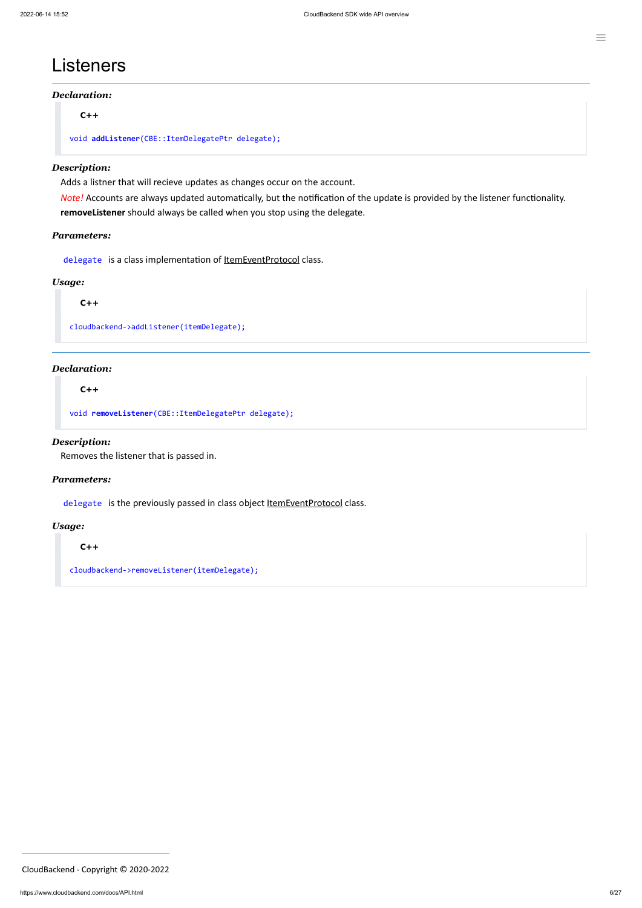### Listeners

#### *Declaration:*

**C++**

```
void addListener(CBE::ItemDelegatePtr delegate);
```
#### *Description:*

Adds a listner that will recieve updates as changes occur on the account.

*Note!* Accounts are always updated automatically, but the notification of the update is provided by the listener functionality. **removeListener** should always be called when you stop using the delegate.

#### *Parameters:*

delegate is a class implementation of **ItemEventProtocol** class.

#### *Usage:*

**C++**

cloudbackend->addListener(itemDelegate);

#### *Declaration:*

**C++**

void **removeListener**(CBE::ItemDelegatePtr delegate);

#### *Description:*

Removes the listener that is passed in.

#### *Parameters:*

delegate is the previously passed in class object [ItemEventProtocol](#page-24-0) class.

#### *Usage:*

**C++**

cloudbackend->removeListener(itemDelegate);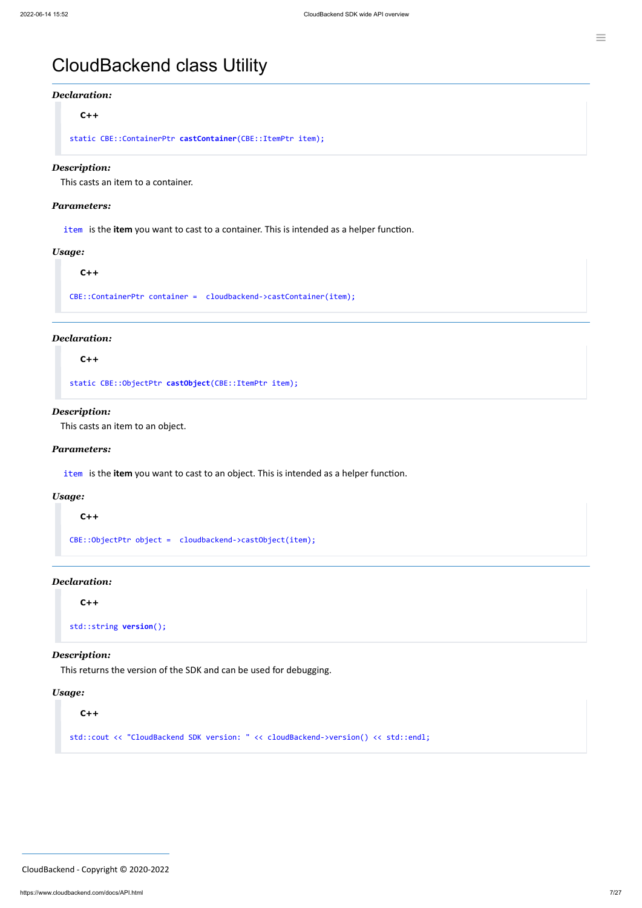#### *Declaration:*

**C++**

static CBE::ContainerPtr **castContainer**(CBE::ItemPtr item);

#### *Description:*

This casts an item to a container.

#### *Parameters:*

item is the **item** you want to cast to a container. This is intended as a helper function.

#### *Usage:*

#### **C++**

CBE::ContainerPtr container = cloudbackend->castContainer(item);

#### *Declaration:*

**C++**

static CBE::ObjectPtr **castObject**(CBE::ItemPtr item);

#### *Description:*

This casts an item to an object.

#### *Parameters:*

item is the **item** you want to cast to an object. This is intended as a helper function.

#### *Usage:*

**C++**

CBE::ObjectPtr object = cloudbackend->castObject(item);

#### *Declaration:*

**C++**

std::string **version**();

#### *Description:*

This returns the version of the SDK and can be used for debugging.

#### *Usage:*

**C++**

std::cout << "CloudBackend SDK version: " << cloudBackend->version() << std::endl;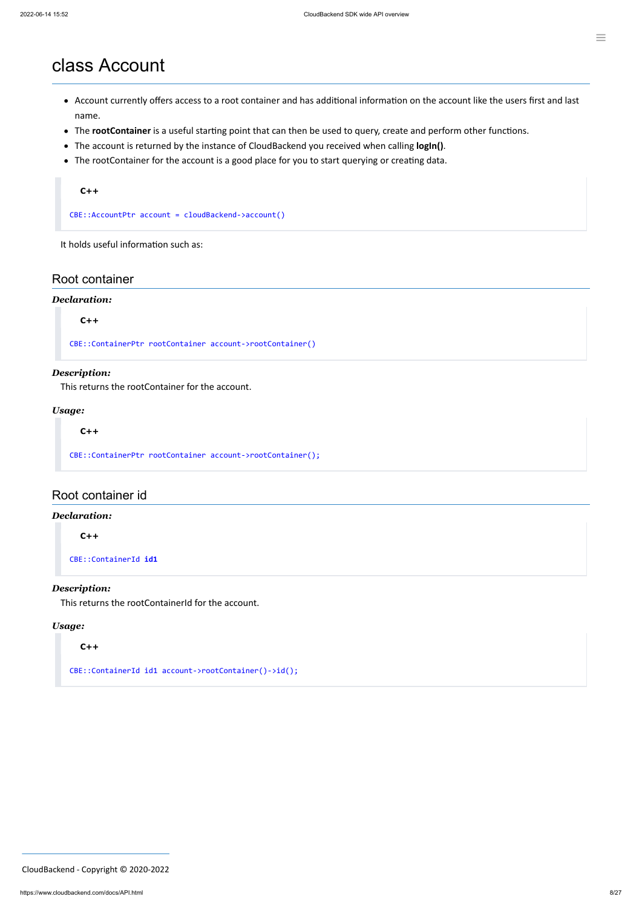### <span id="page-7-0"></span>class Account

- Account currently offers access to a root container and has additional information on the account like the users first and last name.
- The **rootContainer** is a useful starting point that can then be used to query, create and perform other functions.
- The account is returned by the instance of CloudBackend you received when calling **logIn()**.
- The rootContainer for the account is a good place for you to start querying or creating data.

#### **C++**

CBE::AccountPtr account = cloudBackend->account()

It holds useful information such as:

#### Root container

#### *Declaration:*

**C++**

CBE::ContainerPtr rootContainer account->rootContainer()

#### *Description:*

This returns the rootContainer for the account.

#### *Usage:*

**C++**

CBE::ContainerPtr rootContainer account->rootContainer();

#### Root container id

#### *Declaration:*

**C++**

CBE::ContainerId **id1**

#### *Description:*

This returns the rootContainerId for the account.

#### *Usage:*

**C++**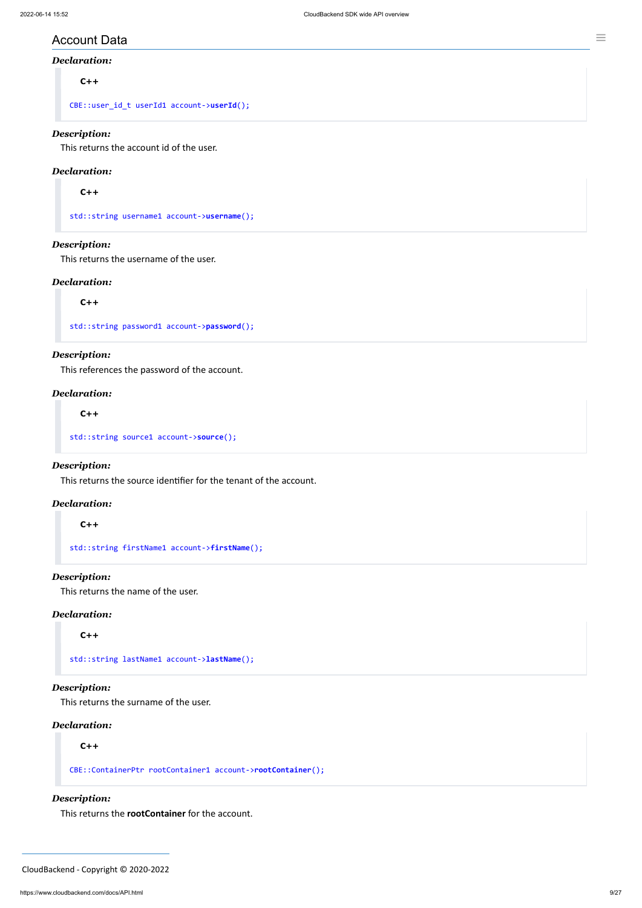#### Account Data

#### *Declaration:*

**C++**

CBE::user\_id\_t userId1 account->**userId**();

#### *Description:*

This returns the account id of the user.

#### *Declaration:*

**C++**

std::string username1 account->**username**();

#### *Description:*

This returns the username of the user.

#### *Declaration:*

**C++**

std::string password1 account->**password**();

#### *Description:*

This references the password of the account.

#### *Declaration:*

**C++**

std::string source1 account->**source**();

#### *Description:*

This returns the source identifier for the tenant of the account.

#### *Declaration:*

#### **C++**

std::string firstName1 account->**firstName**();

#### *Description:*

This returns the name of the user.

#### *Declaration:*

**C++**

std::string lastName1 account->**lastName**();

#### *Description:*

This returns the surname of the user.

#### *Declaration:*

**C++**

CBE::ContainerPtr rootContainer1 account->**rootContainer**();

*Description:*

This returns the **rootContainer** for the account.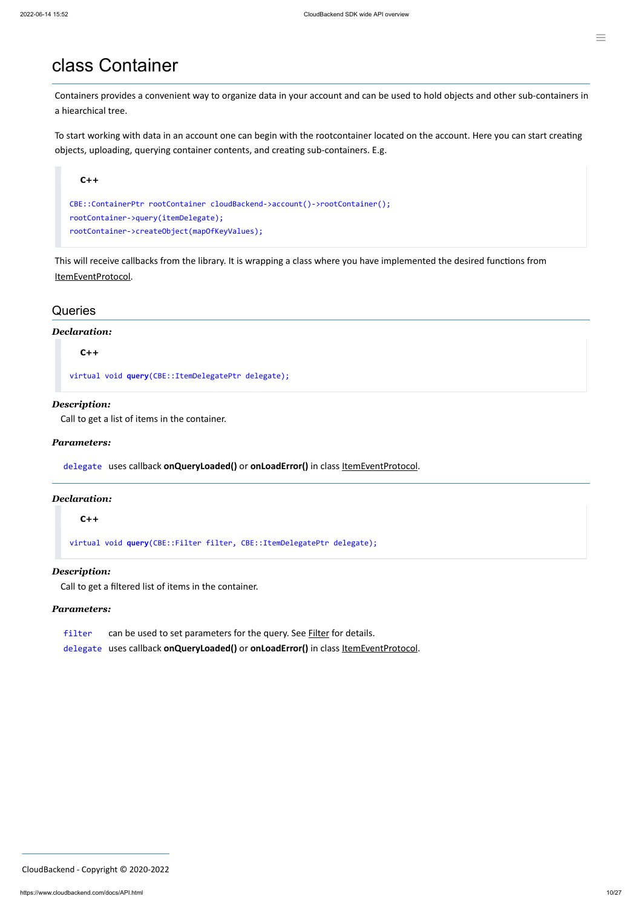### class Container

Containers provides a convenient way to organize data in your account and can be used to hold objects and other sub-containers in a hiearchical tree.

To start working with data in an account one can begin with the rootcontainer located on the account. Here you can start creating objects, uploading, querying container contents, and creating sub-containers. E.g.



This will receive callbacks from the library. It is wrapping a class where you have implemented the desired functions from [ItemEventProtocol.](#page-24-0)

#### **Queries**

#### *Declaration:*

**C++**

virtual void **query**(CBE::ItemDelegatePtr delegate);

#### *Description:*

Call to get a list of items in the container.

#### *Parameters:*

delegate uses callback **onQueryLoaded()** or **onLoadError()** in class [ItemEventProtocol](#page-24-0).

#### *Declaration:*

#### **C++**

virtual void **query**(CBE::Filter filter, CBE::ItemDelegatePtr delegate);

#### *Description:*

Call to get a filtered list of items in the container.

#### *Parameters:*

filter can be used to set parameters for the query. See **[Filter](#page-22-0)** for details.

delegate uses callback **onQueryLoaded()** or **onLoadError()** in class [ItemEventProtocol](#page-24-0).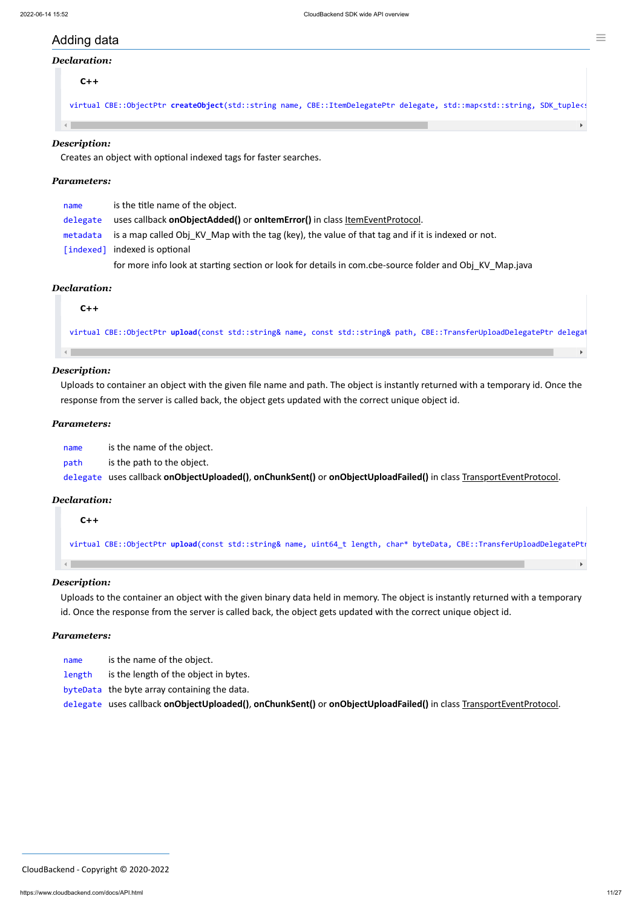#### Ξ

### Adding data

#### *Declaration:*

**C++**

virtual CBE::ObjectPtr createObject(std::string name, CBE::ItemDelegatePtr delegate, std::map<std::string, SDK\_tuple<s

#### *Description:*

 $\left\| \cdot \right\|$ 

Creates an object with optional indexed tags for faster searches.

#### *Parameters:*

| name     | is the title name of the object.                                                                           |
|----------|------------------------------------------------------------------------------------------------------------|
| delegate | uses callback onObjectAdded() or onItemError() in class ItemEventProtocol.                                 |
|          | metadata is a map called Obj KV Map with the tag (key), the value of that tag and if it is indexed or not. |
|          | [indexed] indexed is optional                                                                              |
|          | for more info look at starting section or look for details in com.cbe-source folder and Obj KV Map.java    |

#### *Declaration:*

**C++**

virtual CBE::ObjectPtr **upload**(const std::string& name, const std::string& path, CBE::TransferUploadDelegatePtr delegat

#### *Description:*

Uploads to container an object with the given file name and path. The object is instantly returned with a temporary id. Once the response from the server is called back, the object gets updated with the correct unique object id.

#### *Parameters:*

name is the name of the object.

path is the path to the object.

delegate uses callback **onObjectUploaded()**, **onChunkSent()** or **onObjectUploadFailed()** in class TransportEventProtocol.

#### *Declaration:*

#### **C++**

virtual CBE::ObjectPtr **upload**(const std::string& name, uint64\_t length, char\* byteData, CBE::TransferUploadDelegatePtr

*Description:* Uploads to the container an object with the given binary data held in memory. The object is instantly returned with a temporary id. Once the response from the server is called back, the object gets updated with the correct unique object id.

#### *Parameters:*

| name   | is the name of the object.            |
|--------|---------------------------------------|
| length | is the length of the object in bytes. |

byteData the byte array containing the data.

delegate uses callback **onObjectUploaded()**, **onChunkSent()** or **onObjectUploadFailed()** in class TransportEventProtocol.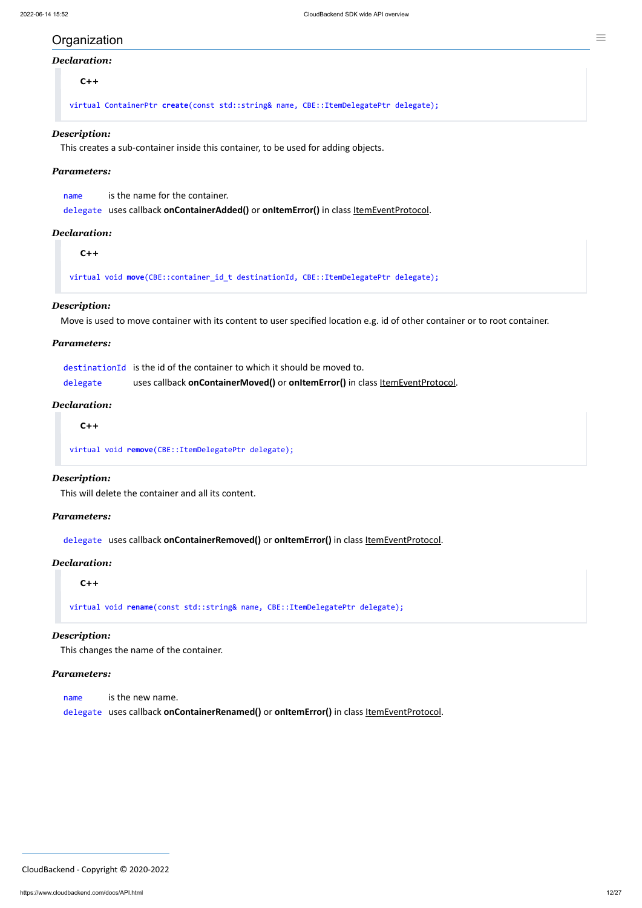#### **Organization**

#### *Declaration:*

**C++**

virtual ContainerPtr **create**(const std::string& name, CBE::ItemDelegatePtr delegate);

#### *Description:*

This creates a sub-container inside this container, to be used for adding objects.

#### *Parameters:*

| name | is the name for the container.                                                         |
|------|----------------------------------------------------------------------------------------|
|      | delegate uses callback onContainerAdded() or onItemError() in class ItemEventProtocol. |

#### *Declaration:*

**C++**

virtual void **move**(CBE::container\_id\_t destinationId, CBE::ItemDelegatePtr delegate);

#### *Description:*

Move is used to move container with its content to user specified location e.g. id of other container or to root container.

#### *Parameters:*

|          | destination Id is the id of the container to which it should be moved to.     |
|----------|-------------------------------------------------------------------------------|
| delegate | uses callback onContainerMoved() or onItemError() in class ItemEventProtocol. |

#### *Declaration:*

**C++**

virtual void **remove**(CBE::ItemDelegatePtr delegate);

#### *Description:*

This will delete the container and all its content.

#### *Parameters:*

delegate uses callback **onContainerRemoved()** or **onItemError()** in class [ItemEventProtocol](#page-24-0).

#### *Declaration:*

**C++**

virtual void **rename**(const std::string& name, CBE::ItemDelegatePtr delegate);

#### *Description:*

This changes the name of the container.

#### *Parameters:*

name is the new name.

delegate uses callback **onContainerRenamed()** or **onItemError()** in class [ItemEventProtocol.](#page-24-0)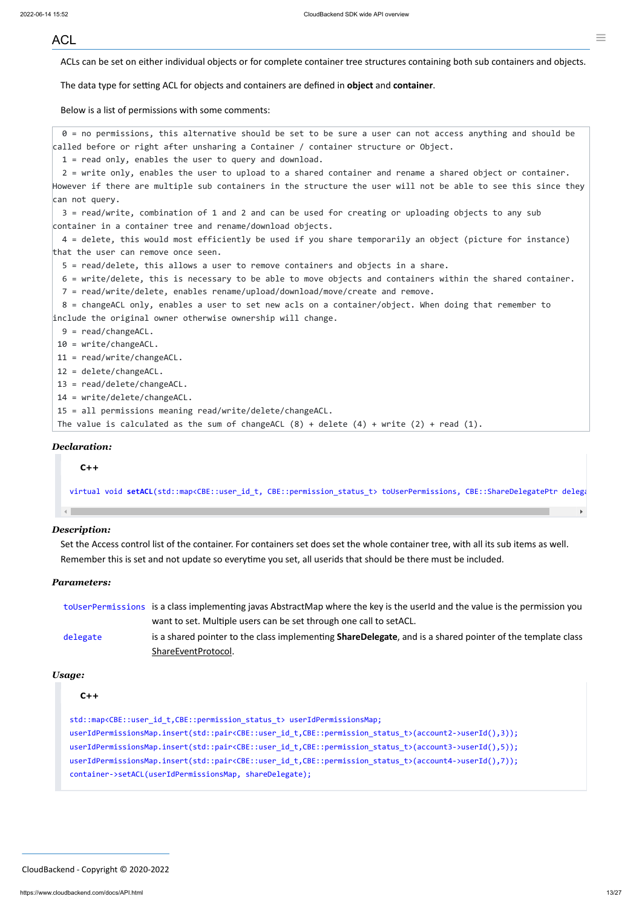#### <span id="page-12-0"></span>ACL

ACLs can be set on either individual objects or for complete container tree structures containing both sub containers and objects.

The data type for setting ACL for objects and containers are defined in **object** and **container**.

Below is a list of permissions with some comments:

0 = no permissions, this alternative should be set to be sure a user can not access anything and should be called before or right after unsharing a Container / container structure or Object.

1 = read only, enables the user to query and download.

2 = write only, enables the user to upload to a shared container and rename a shared object or container. However if there are multiple sub containers in the structure the user will not be able to see this since they can not query.

3 = read/write, combination of 1 and 2 and can be used for creating or uploading objects to any sub container in a container tree and rename/download objects.

4 = delete, this would most efficiently be used if you share temporarily an object (picture for instance) that the user can remove once seen.

5 = read/delete, this allows a user to remove containers and objects in a share.

6 = write/delete, this is necessary to be able to move objects and containers within the shared container.

7 = read/write/delete, enables rename/upload/download/move/create and remove.

8 = changeACL only, enables a user to set new acls on a container/object. When doing that remember to include the original owner otherwise ownership will change.

- 9 = read/changeACL.
- 10 = write/changeACL.

11 = read/write/changeACL.

- 12 = delete/changeACL.
- 13 = read/delete/changeACL.

14 = write/delete/changeACL.

15 = all permissions meaning read/write/delete/changeACL.

The value is calculated as the sum of changeACL  $(8)$  + delete  $(4)$  + write  $(2)$  + read  $(1)$ .

#### *Declaration:*

#### **C++**

virtual void **setACL**(std::map<CBE::user\_id\_t, CBE::permission\_status\_t> toUserPermissions, CBE::ShareDelegatePtr delega

#### *Description:*

Set the Access control list of the container. For containers set does set the whole container tree, with all its sub items as well. Remember this is set and not update so everytime you set, all userids that should be there must be included.

#### *Parameters:*

|          | to UserPermissions is a class implementing javas AbstractMap where the key is the userId and the value is the permission you |
|----------|------------------------------------------------------------------------------------------------------------------------------|
|          | want to set. Multiple users can be set through one call to setACL.                                                           |
| delegate | is a shared pointer to the class implementing <b>ShareDelegate</b> , and is a shared pointer of the template class           |
|          | ShareEventProtocol.                                                                                                          |

*Usage:*

**C++**

std::map<CBE::user\_id\_t,CBE::permission\_status\_t> userIdPermissionsMap; userIdPermissionsMap.insert(std::pair<CBE::user\_id\_t,CBE::permission\_status\_t>(account2->userId(),3)); userIdPermissionsMap.insert(std::pair<CBE::user\_id\_t,CBE::permission\_status\_t>(account3->userId(),5)); userIdPermissionsMap.insert(std::pair<CBE::user\_id\_t,CBE::permission\_status\_t>(account4->userId(),7)); container->setACL(userIdPermissionsMap, shareDelegate);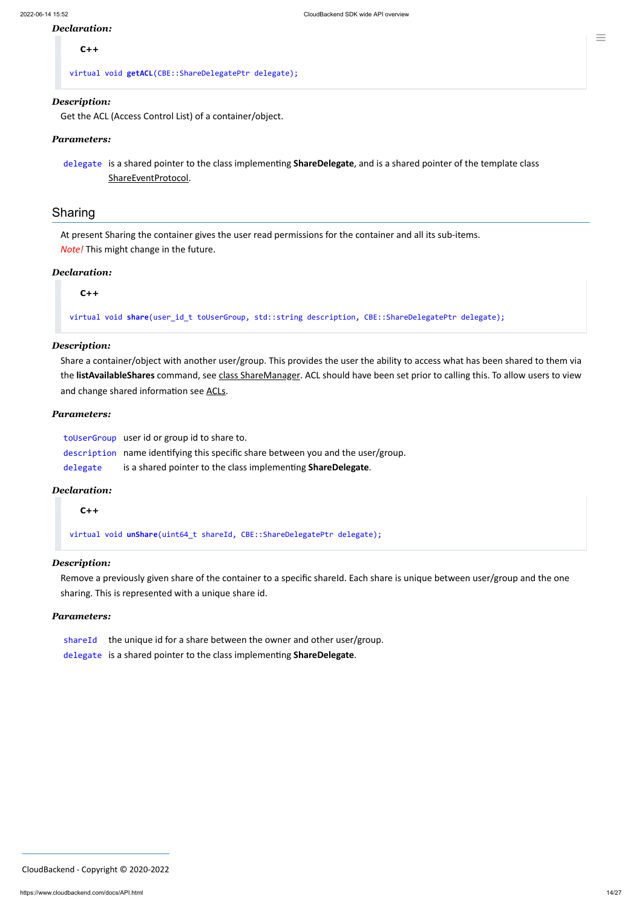#### *Declaration:*

**C++**

virtual void **getACL**(CBE::ShareDelegatePtr delegate);

#### *Description:*

Get the ACL (Access Control List) of a container/object.

#### *Parameters:*

delegate is a shared pointer to the class implementing **ShareDelegate**, and is a shared pointer of the template class [ShareEventProtocol](#page-25-0).

#### Sharing

At present Sharing the container gives the user read permissions for the container and all its sub-items. *Note!* This might change in the future.

#### *Declaration:*

**C++**

virtual void **share**(user\_id\_t toUserGroup, std::string description, CBE::ShareDelegatePtr delegate);

#### *Description:*

Remove a previously given share of the container to a specific shareId. Each share is unique between user/group and the one sharing. This is represented with a unique share id.

- shareId the unique id for a share between the owner and other user/group.
- delegate is a shared pointer to the class implementing **ShareDelegate**.

Share a container/object with another user/group. This provides the user the ability to access what has been shared to them via the **listAvailableShares** command, see class [ShareManager](#page-14-0). ACL should have been set prior to calling this. To allow users to view and change shared information see [ACLs](#page-12-0).

#### *Parameters:*

toUserGroup user id or group id to share to. description name identifying this specific share between you and the user/group.

delegate is a shared pointer to the class implementing **ShareDelegate**.

#### *Declaration:*

**C++**

virtual void **unShare**(uint64\_t shareId, CBE::ShareDelegatePtr delegate);

#### *Description:*

#### *Parameters:*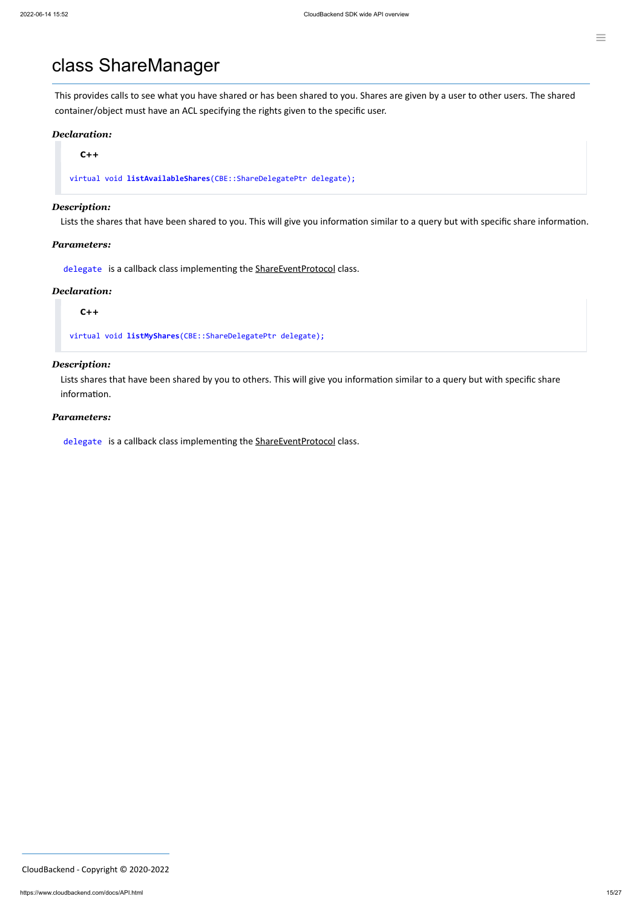### <span id="page-14-0"></span>class ShareManager

This provides calls to see what you have shared or has been shared to you. Shares are given by a user to other users. The shared container/object must have an ACL specifying the rights given to the specific user.

#### *Declaration:*

**C++**

virtual void **listAvailableShares**(CBE::ShareDelegatePtr delegate);

#### *Description:*

Lists the shares that have been shared to you. This will give you information similar to a query but with specific share information.

#### *Parameters:*

delegate is a callback class implementing the [ShareEventProtocol](#page-25-0) class.

#### *Declaration:*

#### **C++**

virtual void **listMyShares**(CBE::ShareDelegatePtr delegate);

#### *Description:*

Lists shares that have been shared by you to others. This will give you information similar to a query but with specific share information.

#### *Parameters:*

delegate is a callback class implementing the [ShareEventProtocol](#page-25-0) class.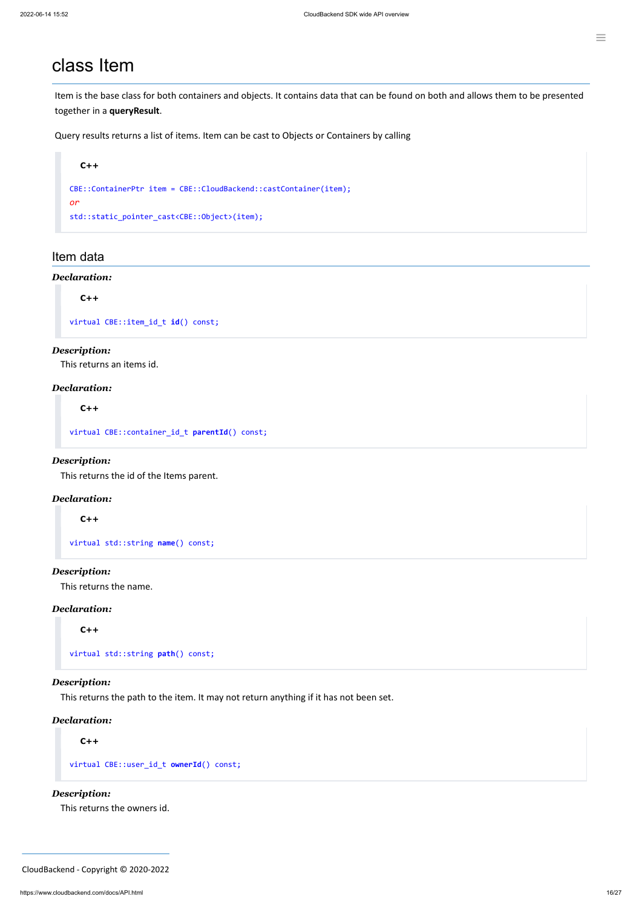### <span id="page-15-0"></span>class Item

Item is the base class for both containers and objects. It contains data that can be found on both and allows them to be presented together in a **queryResult**.

Query results returns a list of items. Item can be cast to Objects or Containers by calling

```
C++
CBE::ContainerPtr item = CBE::CloudBackend::castContainer(item);
or
std::static_pointer_cast<CBE::Object>(item);
```
#### Item data

#### *Declaration:*

#### **C++**

virtual CBE::item\_id\_t **id**() const;

#### *Description:*

This returns an items id.

#### *Declaration:*

**C++**

virtual CBE::container\_id\_t **parentId**() const;

#### *Description:*

This returns the id of the Items parent.

#### *Declaration:*

#### **C++**

virtual std::string **name**() const;

#### *Description:*

This returns the name.

#### *Declaration:*

**C++**

virtual std::string **path**() const;

#### *Description:*

This returns the path to the item. It may not return anything if it has not been set.

#### *Declaration:*

**C++**

```
virtual CBE::user_id_t ownerId() const;
```
*Description:*

This returns the owners id.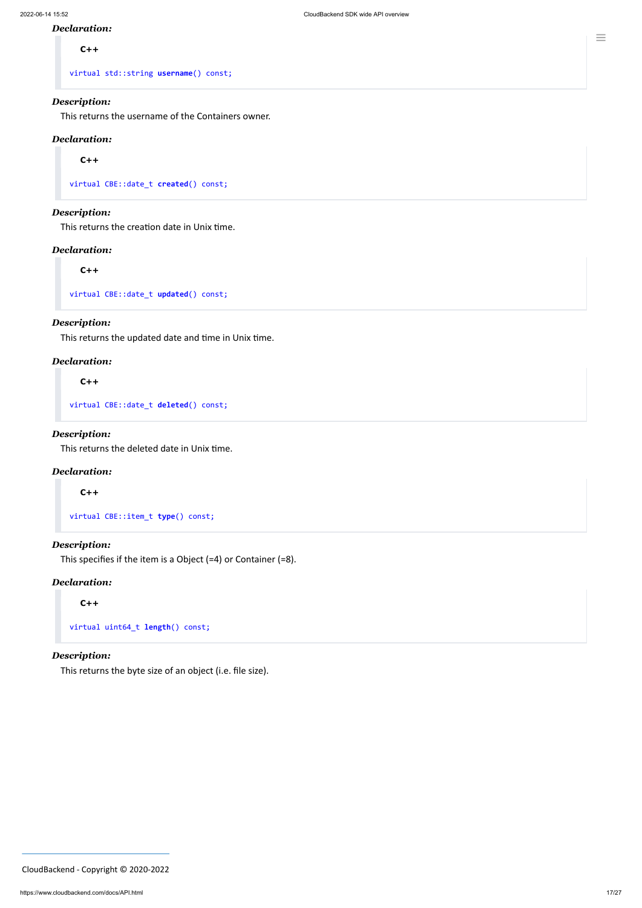#### *Declaration:*

**C++**

virtual std::string **username**() const;

#### *Description:*

This returns the username of the Containers owner.

#### *Declaration:*

**C++**

virtual CBE::date\_t **created**() const;

#### *Description:*

This returns the creation date in Unix time.

#### *Declaration:*

**C++**

virtual CBE::date\_t **updated**() const;

#### *Description:*

This returns the updated date and time in Unix time.

#### *Declaration:*

**C++**

virtual CBE::date\_t **deleted**() const;

#### *Description:*

This returns the deleted date in Unix time.

#### *Declaration:*

**C++**

virtual CBE::item\_t **type**() const;

#### *Description:*

This specifies if the item is a Object (=4) or Container (=8).

#### *Declaration:*

```
C++
```
virtual uint64\_t **length**() const;

#### *Description:*

This returns the byte size of an object (i.e. file size).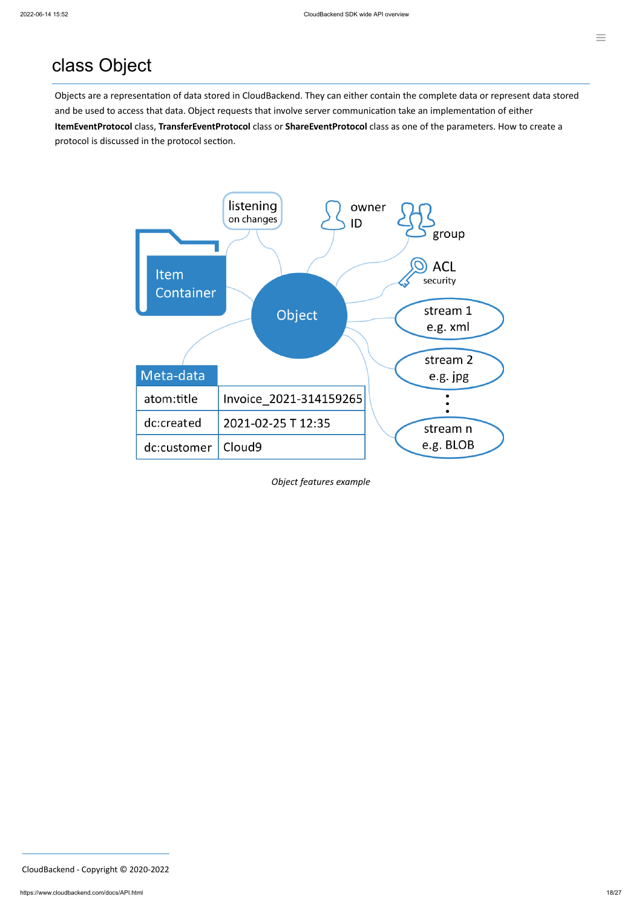## class Object

Objects are a representation of data stored in CloudBackend. They can either contain the complete data or represent data stored and be used to access that data. Object requests that involve server communication take an implementation of either **ItemEventProtocol** class, **TransferEventProtocol** class or **ShareEventProtocol** class as one of the parameters. How to create a protocol is discussed in the protocol section.



*Object features example*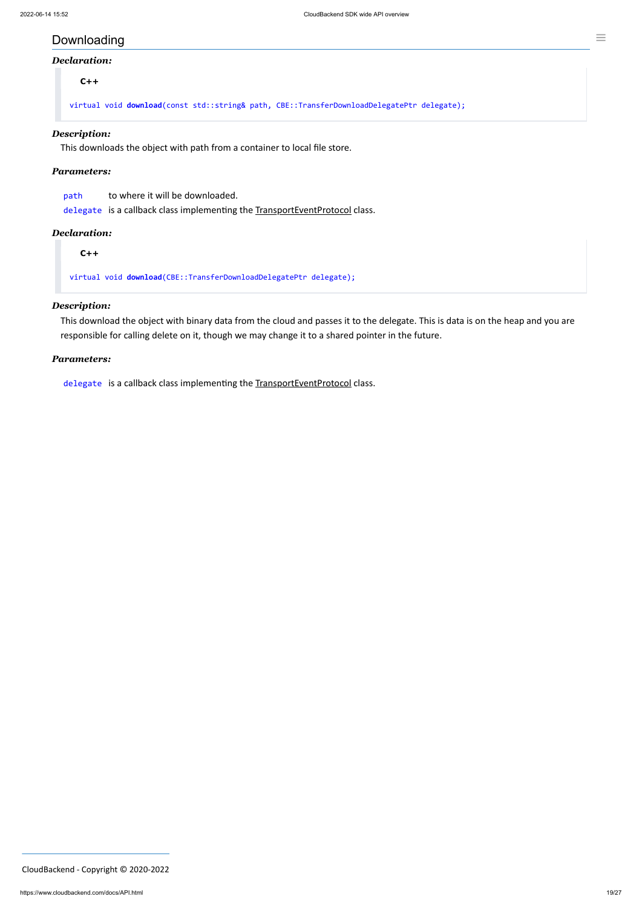### Downloading

#### *Declaration:*

**C++**

virtual void **download**(const std::string& path, CBE::TransferDownloadDelegatePtr delegate);

#### *Description:*

This downloads the object with path from a container to local file store.

#### *Parameters:*

| path | to where it will be downloaded.                                             |
|------|-----------------------------------------------------------------------------|
|      | delegate is a callback class implementing the TransportEventProtocol class. |

#### *Declaration:*

**C++**

virtual void **download**(CBE::TransferDownloadDelegatePtr delegate);

#### *Description:*

This download the object with binary data from the cloud and passes it to the delegate. This is data is on the heap and you are responsible for calling delete on it, though we may change it to a shared pointer in the future.

#### *Parameters:*

delegate is a callback class implementing the TransportEventProtocol class.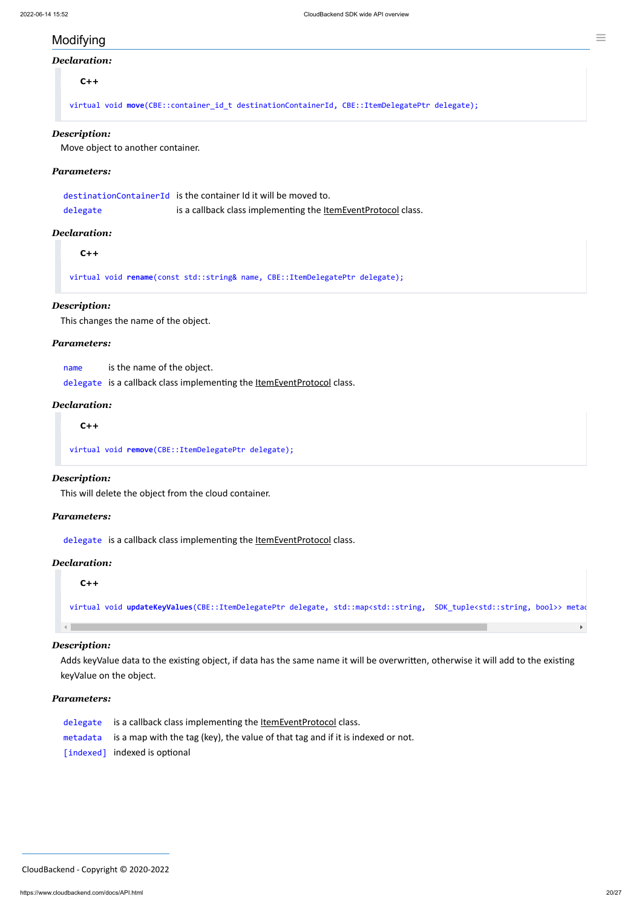$\blacktriangleright$ 

### Modifying

#### *Declaration:*

#### **C++**

virtual void **move**(CBE::container\_id\_t destinationContainerId, CBE::ItemDelegatePtr delegate);

#### *Description:*

Move object to another container.

#### *Parameters:*

|          | destinationContainerId is the container Id it will be moved to.      |
|----------|----------------------------------------------------------------------|
| delegate | is a callback class implementing the <b>ItemEventProtocol</b> class. |

#### *Declaration:*

**C++**

virtual void **rename**(const std::string& name, CBE::ItemDelegatePtr delegate);

#### *Description:*

This changes the name of the object.

#### *Parameters:*

name is the name of the object.

delegate is a callback class implementing the **[ItemEventProtocol](#page-24-0)** class.

#### *Declaration:*

**C++**

virtual void **remove**(CBE::ItemDelegatePtr delegate);

#### *Description:*

This will delete the object from the cloud container.

#### *Parameters:*

delegate is a callback class implementing the **[ItemEventProtocol](#page-24-0)** class.

#### *Declaration:*

**C++**

virtual void **updateKeyValues**(CBE::ItemDelegatePtr delegate, std::map<std::string, SDK\_tuple<std::string, bool>> metad

#### *Description:*

Adds keyValue data to the existing object, if data has the same name it will be overwritten, otherwise it will add to the existing keyValue on the object.

#### *Parameters:*

- delegate is a callback class implementing the ltemEventProtocol class.
- metadata is a map with the tag (key), the value of that tag and if it is indexed or not.
- [indexed] indexed is optional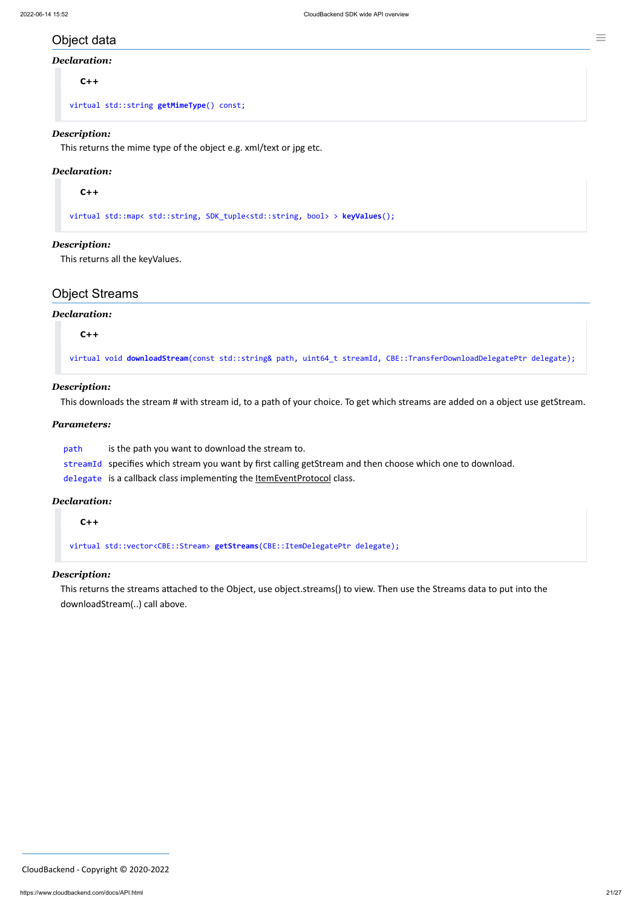### Object data

#### *Declaration:*

**C++**

virtual std::string **getMimeType**() const;

#### *Description:*

This returns the mime type of the object e.g. xml/text or jpg etc.

#### *Declaration:*

**C++**

virtual std::map< std::string, SDK\_tuple<std::string, bool> > **keyValues**();

#### *Description:*

This returns all the keyValues.

### Object Streams

#### *Declaration:*

**C++**

virtual void **downloadStream**(const std::string& path, uint64\_t streamId, CBE::TransferDownloadDelegatePtr delegate);

#### *Description:*

This downloads the stream # with stream id, to a path of your choice. To get which streams are added on a object use getStream.

#### *Parameters:*

path is the path you want to download the stream to.

streamId specifies which stream you want by first calling getStream and then choose which one to download.

delegate is a callback class implementing the **[ItemEventProtocol](#page-24-0)** class.

#### *Declaration:*

**C++**

virtual std::vector<CBE::Stream> **getStreams**(CBE::ItemDelegatePtr delegate);

#### *Description:*

This returns the streams attached to the Object, use object.streams() to view. Then use the Streams data to put into the downloadStream(..) call above.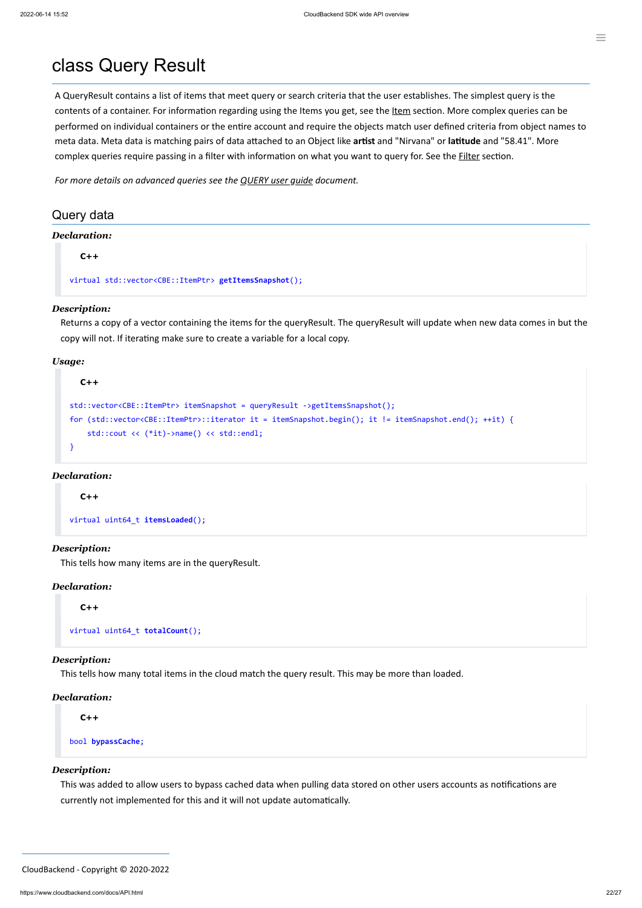A QueryResult contains a list of items that meet query or search criteria that the user establishes. The simplest query is the contents of a container. For information regarding using the [Item](#page-15-0)s you get, see the Item section. More complex queries can be performed on individual containers or the entire account and require the objects match user defined criteria from object names to meta data. Meta data is matching pairs of data attached to an Object like **artist** and "Nirvana" or **latitude** and "58.41". More complex queries require passing in a filter with information on what you want to query for. See the **[Filter](#page-22-0)** section.

### class Query Result

*For more details on advanced queries see the [QUERY](https://www.cloudbackend.com/docs/QUERYug.html) user guide document.*

### Query data

#### *Declaration:*

**C++**

virtual std::vector<CBE::ItemPtr> **getItemsSnapshot**();

#### *Description:*

Returns a copy of a vector containing the items for the queryResult. The queryResult will update when new data comes in but the copy will not. If iterating make sure to create a variable for a local copy.

#### *Usage:*

```
C++
std::vector<CBE::ItemPtr> itemSnapshot = queryResult ->getItemsSnapshot();
for (std::vector<CBE::ItemPtr>::iterator it = itemSnapshot.begin(); it != itemSnapshot.end(); ++it) {
     std::cout << (*it)->name() << std::endl;
}
```
#### *Declaration:*

**C++**

virtual uint64\_t **itemsLoaded**();

#### *Description:*

This tells how many items are in the queryResult.

#### *Declaration:*

**C++**

```
virtual uint64_t totalCount();
```
#### *Description:*

This tells how many total items in the cloud match the query result. This may be more than loaded.

#### *Declaration:*

**C++**

bool **bypassCache**;

#### *Description:*

This was added to allow users to bypass cached data when pulling data stored on other users accounts as notifications are

currently not implemented for this and it will not update automatically.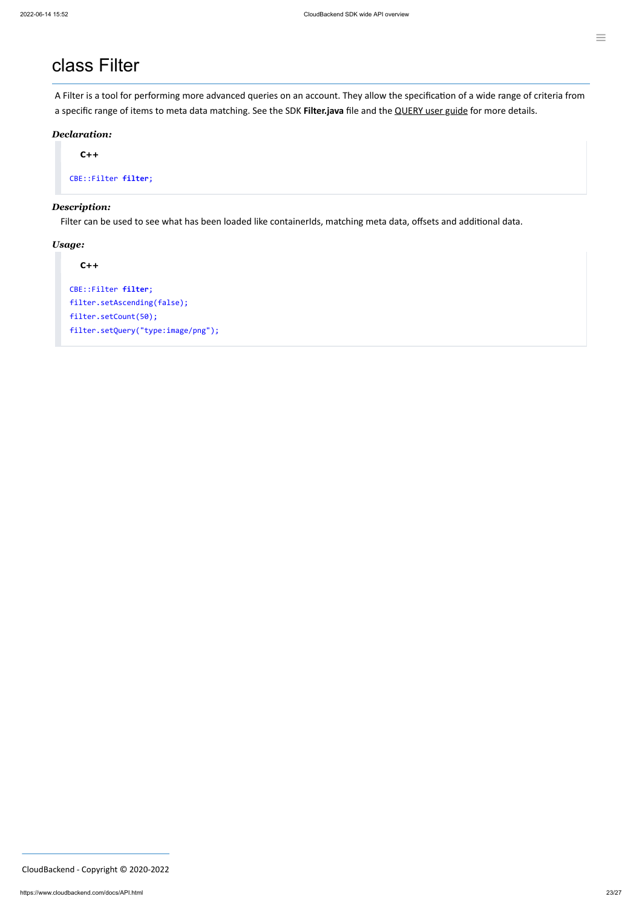### <span id="page-22-0"></span>class Filter

A Filter is a tool for performing more advanced queries on an account. They allow the specification of a wide range of criteria from a specific range of items to meta data matching. See the SDK **Filter.java** file and the [QUERY](https://www.cloudbackend.com/docs/QUERYug.html) user guide for more details.

#### *Declaration:*

**C++**

CBE::Filter **filter**;

#### *Description:*

Filter can be used to see what has been loaded like containerIds, matching meta data, offsets and additional data.

#### *Usage:*

#### **C++**

CBE::Filter **filter**; filter.setAscending(false); filter.setCount(50); filter.setQuery("type:image/png");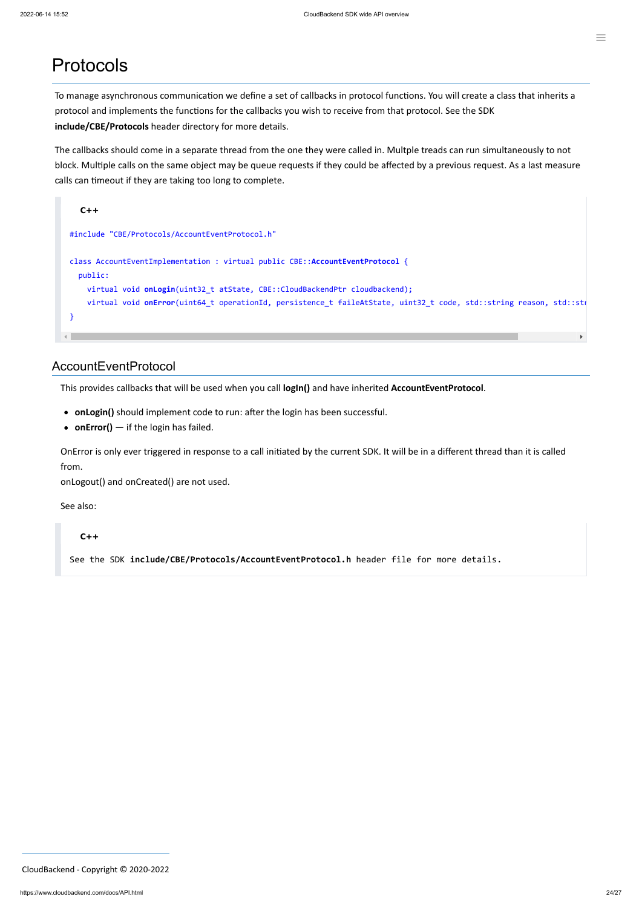### Protocols

To manage asynchronous communication we define a set of callbacks in protocol functions. You will create a class that inherits a protocol and implements the functions for the callbacks you wish to receive from that protocol. See the SDK **include/CBE/Protocols** header directory for more details.

```
C++
#include "CBE/Protocols/AccountEventProtocol.h"
class AccountEventImplementation : virtual public CBE::AccountEventProtocol {
   public:
     virtual void onLogin(uint32_t atState, CBE::CloudBackendPtr cloudbackend);
     virtual void onError(uint64_t operationId, persistence_t faileAtState, uint32_t code, std::string reason, std::str
}
                                                                                                                         \mathbf{r}
```
The callbacks should come in a separate thread from the one they were called in. Multple treads can run simultaneously to not block. Multiple calls on the same object may be queue requests if they could be affected by a previous request. As a last measure calls can timeout if they are taking too long to complete.

#### <span id="page-23-0"></span>AccountEventProtocol

This provides callbacks that will be used when you call **logIn()** and have inherited **AccountEventProtocol**.

- **onLogin()** should implement code to run: after the login has been successful.
- **onError()** if the login has failed.

OnError is only ever triggered in response to a call initiated by the current SDK. It will be in a different thread than it is called from.

onLogout() and onCreated() are not used.

See also:

#### **C++**

See the SDK **include/CBE/Protocols/AccountEventProtocol.h** header file for more details.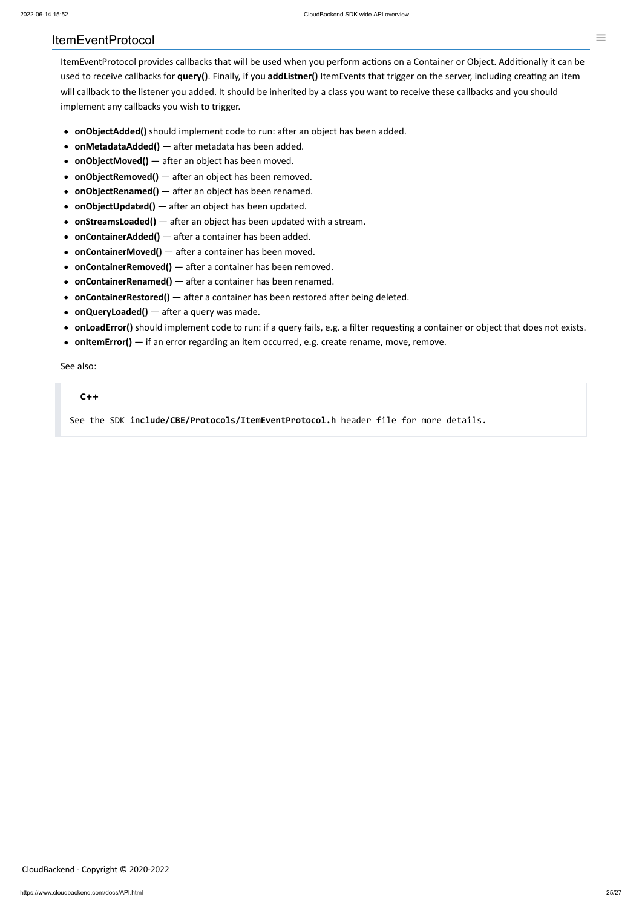#### <span id="page-24-0"></span>ItemEventProtocol

ItemEventProtocol provides callbacks that will be used when you perform actions on a Container or Object. Additionally it can be used to receive callbacks for **query()**. Finally, if you **addListner()** ItemEvents that trigger on the server, including creating an item will callback to the listener you added. It should be inherited by a class you want to receive these callbacks and you should implement any callbacks you wish to trigger.

- **onObjectAdded()** should implement code to run: after an object has been added.
- **onMetadataAdded()** after metadata has been added.
- **onObjectMoved()** after an object has been moved.
- **onObjectRemoved()** after an object has been removed.
- **onObjectRenamed()** after an object has been renamed.
- **onObjectUpdated()** after an object has been updated.
- **onStreamsLoaded()** after an object has been updated with a stream.
- **onContainerAdded()** after a container has been added.
- **onContainerMoved()** after a container has been moved.
- **onContainerRemoved()** after a container has been removed.
- **onContainerRenamed()** after a container has been renamed.
- **onContainerRestored()** after a container has been restored after being deleted.
- **onQueryLoaded()** after a query was made.
- **onLoadError()** should implement code to run: if a query fails, e.g. a filter requesting a container or object that does not exists.
- **onItemError()** if an error regarding an item occurred, e.g. create rename, move, remove.

See also:

#### **C++**

See the SDK **include/CBE/Protocols/ItemEventProtocol.h** header file for more details.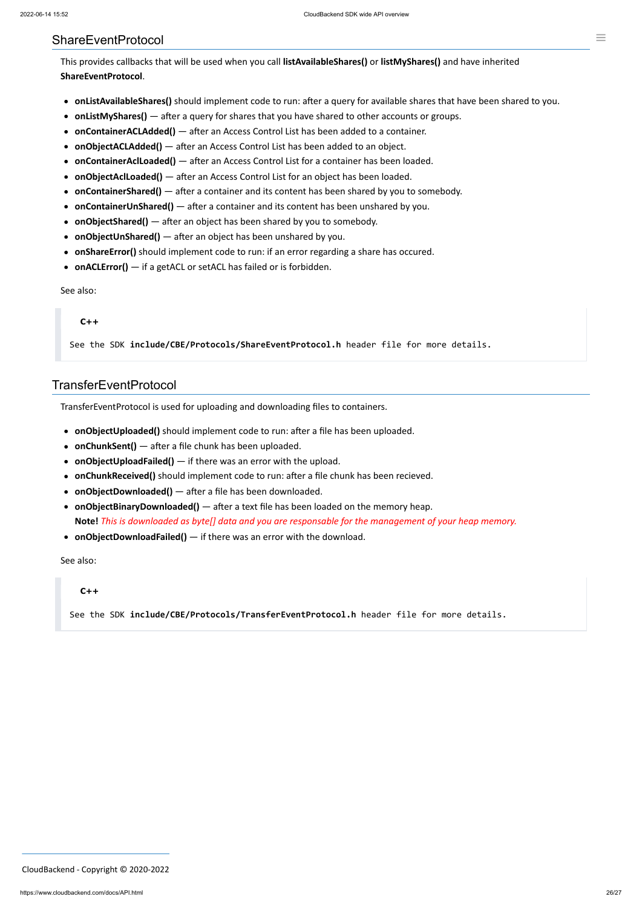### <span id="page-25-0"></span>ShareEventProtocol

This provides callbacks that will be used when you call **listAvailableShares()** or **listMyShares()** and have inherited **ShareEventProtocol**.

- **onListAvailableShares()** should implement code to run: after a query for available shares that have been shared to you.
- **onListMyShares()** after a query for shares that you have shared to other accounts or groups.
- **onContainerACLAdded()** after an Access Control List has been added to a container.
- **onObjectACLAdded()** after an Access Control List has been added to an object.
- **onContainerAclLoaded()** after an Access Control List for a container has been loaded.
- **onObjectAclLoaded()** after an Access Control List for an object has been loaded.
- **onContainerShared()** after a container and its content has been shared by you to somebody.
- **onContainerUnShared()** after a container and its content has been unshared by you.
- **onObjectShared()** after an object has been shared by you to somebody.
- **onObjectUnShared()** after an object has been unshared by you.
- **onShareError()** should implement code to run: if an error regarding a share has occured.
- **onACLError()** if a getACL or setACL has failed or is forbidden.

See also:

#### **C++**

See the SDK **include/CBE/Protocols/ShareEventProtocol.h** header file for more details.

### TransferEventProtocol

TransferEventProtocol is used for uploading and downloading files to containers.

- **onObjectUploaded()** should implement code to run: after a file has been uploaded.
- **onChunkSent()** after a file chunk has been uploaded.
- **onObjectUploadFailed()** if there was an error with the upload.
- **onChunkReceived()** should implement code to run: after a file chunk has been recieved.
- **onObjectDownloaded()** after a file has been downloaded.
- **onObjectBinaryDownloaded()** after a text file has been loaded on the memory heap. **Note!** *This is downloaded as byte[] data and you are responsable for the management of your heap memory.*
- **onObjectDownloadFailed()** if there was an error with the download.

See also:

#### **C++**

See the SDK **include/CBE/Protocols/TransferEventProtocol.h** header file for more details.